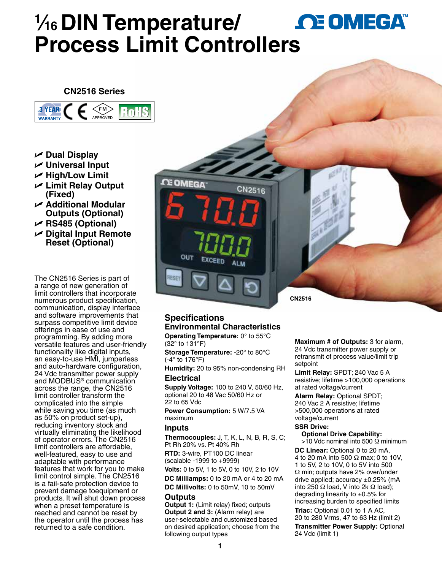# **1 ⁄16 DIN Temperature/ Process Limit Controlle[rs](www.omega.com)**

### **CN2516 Series**



- **Dual Display**
- **Universal Input**
- $⊬$  **High/Low Limit**
- **Limit Relay Output (Fixed)**
- **Additional Modular Outputs (Optional)**
- **RS485 (Optional)**
- **Digital Input Remote Reset (Optional)**

The CN2516 Series is part of a range of new generation of limit controllers that incorporate numerous product specification, communication, display interface and software improvements that surpass competitive limit device offerings in ease of use and programming. By adding more versatile features and user-friendly functionality like digital inputs, an easy-to-use HMI, jumperless and auto-hardware configuration, 24 Vdc transmitter power supply and MODBUS® communication across the range, the CN2516 limit controller transform the complicated into the simple while saving you time (as much as 50% on product set-up), reducing inventory stock and virtually eliminating the likelihood of operator errors. The CN2516 limit controllers are affordable, well-featured, easy to use and adaptable with performance features that work for you to make limit control simple. The CN2516 is a fail-safe protection device to prevent damage toequipment or products. It will shut down process when a preset temperature is reached and cannot be reset by the operator until the process has returned to a safe condition.

**CE OMEGA** ESE **CN2516**

## **Specifications Environmental Characteristics**

**Operating Temperature:** 0° to 55°C (32° to 131°F)

**Storage Temperature:** -20° to 80°C (-4° to 176°F)

**Humidity:** 20 to 95% non-condensing RH **Electrical**

**Supply Voltage:** 100 to 240 V, 50/60 Hz, optional 20 to 48 Vac 50/60 Hz or 22 to 65 Vdc

**Power Consumption:** 5 W/7.5 VA maximum

#### **Inputs**

**Thermocouples:** J, T, K, L, N, B, R, S, C; Pt Rh 20% vs. Pt 40% Rh

**RTD:** 3-wire, PT100 DC linear (scalable -1999 to +9999)

**Volts:** 0 to 5V, 1 to 5V, 0 to 10V, 2 to 10V

**DC Milliamps:** 0 to 20 mA or 4 to 20 mA **DC Millivolts:** 0 to 50mV, 10 to 50mV

#### **Outputs**

**Output 1:** (Limit relay) fixed; outputs **Output 2 and 3:** (Alarm relay) are user-selectable and customized based on desired application; choose from the following output types

**Maximum # of Outputs:** 3 for alarm, 24 Vdc transmitter power supply or retransmit of process value/limit trip setpoint

**Limit Relay:** SPDT; 240 Vac 5 A resistive; lifetime >100,000 operations at rated voltage/current

**Alarm Relay:** Optional SPDT; 240 Vac 2 A resistive; lifetime >500,000 operations at rated voltage/current

#### **SSR Drive:**

**Optional Drive Capability:**  $>$ 10 Vdc nominal into 500  $\Omega$  minimum **DC Linear:** Optional 0 to 20 mA, 4 to 20 mA into 500 Ω max; 0 to 10V, 1 to 5V, 2 to 10V, 0 to 5V into 500 Ω min; outputs have 2% over/under drive applied; accuracy  $\pm 0.25\%$  (mA into 250 Ω load, V into 2k Ω load); degrading linearity to  $\pm 0.5\%$  for increasing burden to specified limits **Triac:** Optional 0.01 to 1 A AC, 20 to 280 Vrms, 47 to 63 Hz (limit 2) **Transmitter Power Supply:** Optional 24 Vdc (limit 1)